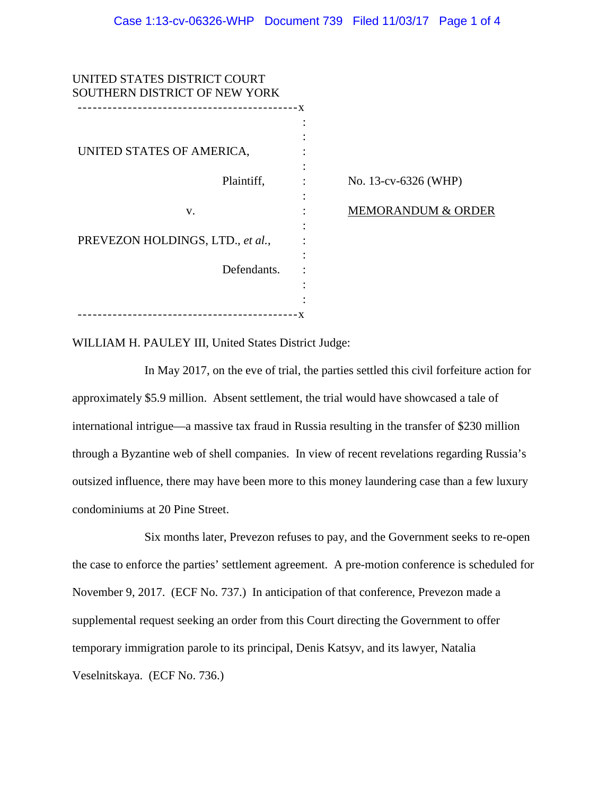| UNITED STATES DISTRICT COURT<br>SOUTHERN DISTRICT OF NEW YORK |                               |
|---------------------------------------------------------------|-------------------------------|
|                                                               |                               |
| UNITED STATES OF AMERICA,                                     |                               |
| Plaintiff,                                                    | No. 13-cv-6326 (WHP)          |
| V.                                                            | <b>MEMORANDUM &amp; ORDER</b> |
| PREVEZON HOLDINGS, LTD., et al.,                              |                               |
| Defendants.                                                   |                               |
|                                                               |                               |
| -----------------------------------                           |                               |

WILLIAM H. PAULEY III, United States District Judge:

In May 2017, on the eve of trial, the parties settled this civil forfeiture action for approximately \$5.9 million. Absent settlement, the trial would have showcased a tale of international intrigue—a massive tax fraud in Russia resulting in the transfer of \$230 million through a Byzantine web of shell companies. In view of recent revelations regarding Russia's outsized influence, there may have been more to this money laundering case than a few luxury condominiums at 20 Pine Street.

Six months later, Prevezon refuses to pay, and the Government seeks to re-open the case to enforce the parties' settlement agreement. A pre-motion conference is scheduled for November 9, 2017. (ECF No. 737.) In anticipation of that conference, Prevezon made a supplemental request seeking an order from this Court directing the Government to offer temporary immigration parole to its principal, Denis Katsyv, and its lawyer, Natalia Veselnitskaya. (ECF No. 736.)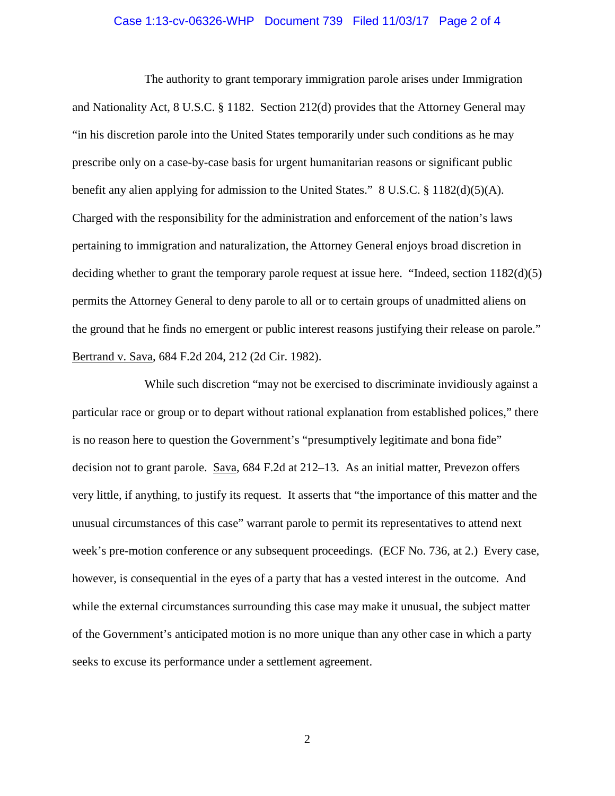## Case 1:13-cv-06326-WHP Document 739 Filed 11/03/17 Page 2 of 4

The authority to grant temporary immigration parole arises under Immigration and Nationality Act, 8 U.S.C. § 1182. Section 212(d) provides that the Attorney General may "in his discretion parole into the United States temporarily under such conditions as he may prescribe only on a case-by-case basis for urgent humanitarian reasons or significant public benefit any alien applying for admission to the United States." 8 U.S.C. § 1182(d)(5)(A). Charged with the responsibility for the administration and enforcement of the nation's laws pertaining to immigration and naturalization, the Attorney General enjoys broad discretion in deciding whether to grant the temporary parole request at issue here. "Indeed, section 1182(d)(5) permits the Attorney General to deny parole to all or to certain groups of unadmitted aliens on the ground that he finds no emergent or public interest reasons justifying their release on parole." Bertrand v. Sava, 684 F.2d 204, 212 (2d Cir. 1982).

While such discretion "may not be exercised to discriminate invidiously against a particular race or group or to depart without rational explanation from established polices," there is no reason here to question the Government's "presumptively legitimate and bona fide" decision not to grant parole. Sava, 684 F.2d at 212–13. As an initial matter, Prevezon offers very little, if anything, to justify its request. It asserts that "the importance of this matter and the unusual circumstances of this case" warrant parole to permit its representatives to attend next week's pre-motion conference or any subsequent proceedings. (ECF No. 736, at 2.) Every case, however, is consequential in the eyes of a party that has a vested interest in the outcome. And while the external circumstances surrounding this case may make it unusual, the subject matter of the Government's anticipated motion is no more unique than any other case in which a party seeks to excuse its performance under a settlement agreement.

2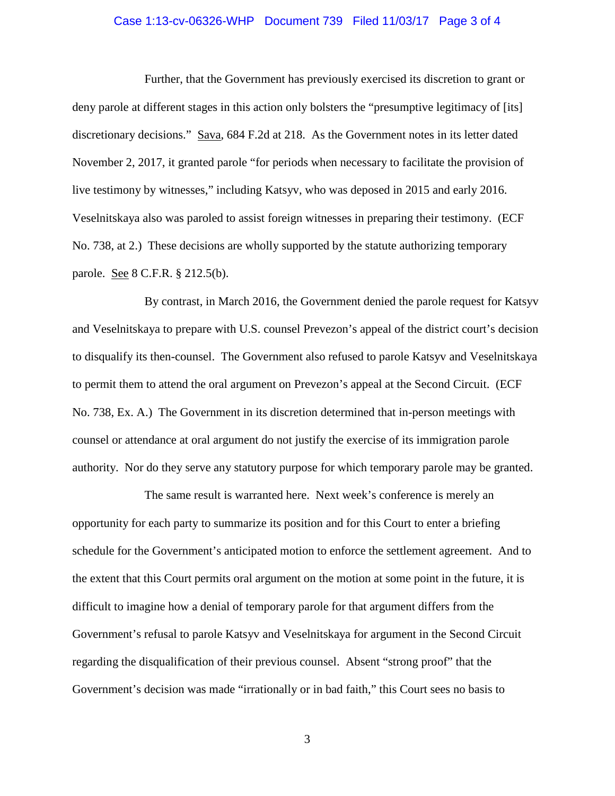## Case 1:13-cv-06326-WHP Document 739 Filed 11/03/17 Page 3 of 4

Further, that the Government has previously exercised its discretion to grant or deny parole at different stages in this action only bolsters the "presumptive legitimacy of [its] discretionary decisions." Sava, 684 F.2d at 218. As the Government notes in its letter dated November 2, 2017, it granted parole "for periods when necessary to facilitate the provision of live testimony by witnesses," including Katsyv, who was deposed in 2015 and early 2016. Veselnitskaya also was paroled to assist foreign witnesses in preparing their testimony. (ECF No. 738, at 2.) These decisions are wholly supported by the statute authorizing temporary parole. See 8 C.F.R. § 212.5(b).

By contrast, in March 2016, the Government denied the parole request for Katsyv and Veselnitskaya to prepare with U.S. counsel Prevezon's appeal of the district court's decision to disqualify its then-counsel. The Government also refused to parole Katsyv and Veselnitskaya to permit them to attend the oral argument on Prevezon's appeal at the Second Circuit. (ECF No. 738, Ex. A.) The Government in its discretion determined that in-person meetings with counsel or attendance at oral argument do not justify the exercise of its immigration parole authority. Nor do they serve any statutory purpose for which temporary parole may be granted.

The same result is warranted here. Next week's conference is merely an opportunity for each party to summarize its position and for this Court to enter a briefing schedule for the Government's anticipated motion to enforce the settlement agreement. And to the extent that this Court permits oral argument on the motion at some point in the future, it is difficult to imagine how a denial of temporary parole for that argument differs from the Government's refusal to parole Katsyv and Veselnitskaya for argument in the Second Circuit regarding the disqualification of their previous counsel. Absent "strong proof" that the Government's decision was made "irrationally or in bad faith," this Court sees no basis to

3